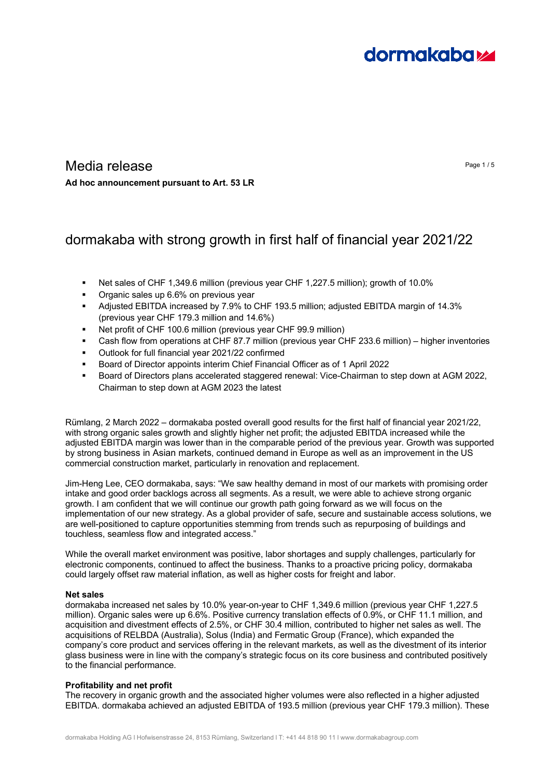# **dormakabazz**

### Media release Page 1/5 **Ad hoc announcement pursuant to Art. 53 LR**

## dormakaba with strong growth in first half of financial year 2021/22

- Net sales of CHF 1,349.6 million (previous year CHF 1,227.5 million); growth of 10.0%
- **•** Organic sales up 6.6% on previous year
- Adjusted EBITDA increased by 7.9% to CHF 193.5 million; adjusted EBITDA margin of 14.3% (previous year CHF 179.3 million and 14.6%)
- Net profit of CHF 100.6 million (previous year CHF 99.9 million)
- Cash flow from operations at CHF 87.7 million (previous year CHF 233.6 million) higher inventories
- Outlook for full financial year 2021/22 confirmed
- Board of Director appoints interim Chief Financial Officer as of 1 April 2022
- Board of Directors plans accelerated staggered renewal: Vice-Chairman to step down at AGM 2022, Chairman to step down at AGM 2023 the latest

Rümlang, 2 March 2022 – dormakaba posted overall good results for the first half of financial year 2021/22, with strong organic sales growth and slightly higher net profit; the adjusted EBITDA increased while the adjusted EBITDA margin was lower than in the comparable period of the previous year. Growth was supported by strong business in Asian markets, continued demand in Europe as well as an improvement in the US commercial construction market, particularly in renovation and replacement.

Jim-Heng Lee, CEO dormakaba, says: "We saw healthy demand in most of our markets with promising order intake and good order backlogs across all segments. As a result, we were able to achieve strong organic growth. I am confident that we will continue our growth path going forward as we will focus on the implementation of our new strategy. As a global provider of safe, secure and sustainable access solutions, we are well-positioned to capture opportunities stemming from trends such as repurposing of buildings and touchless, seamless flow and integrated access."

While the overall market environment was positive, labor shortages and supply challenges, particularly for electronic components, continued to affect the business. Thanks to a proactive pricing policy, dormakaba could largely offset raw material inflation, as well as higher costs for freight and labor.

#### **Net sales**

dormakaba increased net sales by 10.0% year-on-year to CHF 1,349.6 million (previous year CHF 1,227.5 million). Organic sales were up 6.6%. Positive currency translation effects of 0.9%, or CHF 11.1 million, and acquisition and divestment effects of 2.5%, or CHF 30.4 million, contributed to higher net sales as well. The acquisitions of RELBDA (Australia), Solus (India) and Fermatic Group (France), which expanded the company's core product and services offering in the relevant markets, as well as the divestment of its interior glass business were in line with the company's strategic focus on its core business and contributed positively to the financial performance.

#### **Profitability and net profit**

The recovery in organic growth and the associated higher volumes were also reflected in a higher adjusted EBITDA. dormakaba achieved an adjusted EBITDA of 193.5 million (previous year CHF 179.3 million). These

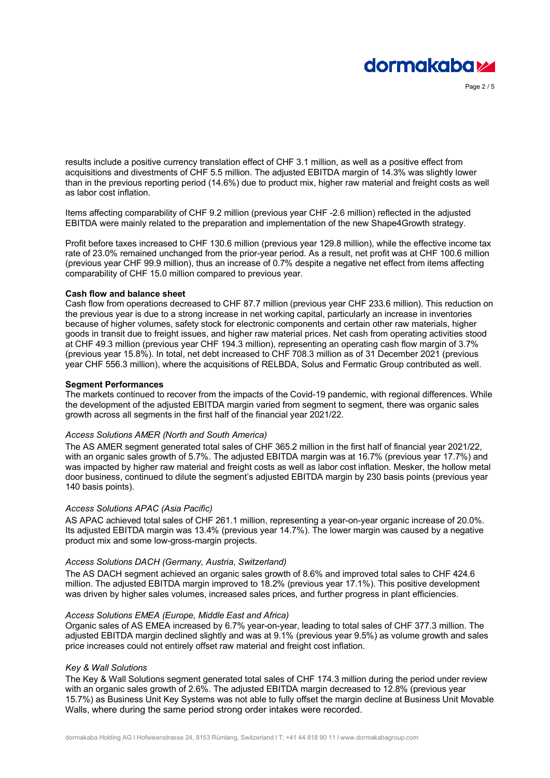

Page 2 / 5

results include a positive currency translation effect of CHF 3.1 million, as well as a positive effect from acquisitions and divestments of CHF 5.5 million. The adjusted EBITDA margin of 14.3% was slightly lower than in the previous reporting period (14.6%) due to product mix, higher raw material and freight costs as well as labor cost inflation.

Items affecting comparability of CHF 9.2 million (previous year CHF -2.6 million) reflected in the adjusted EBITDA were mainly related to the preparation and implementation of the new Shape4Growth strategy.

Profit before taxes increased to CHF 130.6 million (previous year 129.8 million), while the effective income tax rate of 23.0% remained unchanged from the prior-year period. As a result, net profit was at CHF 100.6 million (previous year CHF 99.9 million), thus an increase of 0.7% despite a negative net effect from items affecting comparability of CHF 15.0 million compared to previous year.

#### **Cash flow and balance sheet**

Cash flow from operations decreased to CHF 87.7 million (previous year CHF 233.6 million). This reduction on the previous year is due to a strong increase in net working capital, particularly an increase in inventories because of higher volumes, safety stock for electronic components and certain other raw materials, higher goods in transit due to freight issues, and higher raw material prices. Net cash from operating activities stood at CHF 49.3 million (previous year CHF 194.3 million), representing an operating cash flow margin of 3.7% (previous year 15.8%). In total, net debt increased to CHF 708.3 million as of 31 December 2021 (previous year CHF 556.3 million), where the acquisitions of RELBDA, Solus and Fermatic Group contributed as well.

#### **Segment Performances**

The markets continued to recover from the impacts of the Covid-19 pandemic, with regional differences. While the development of the adjusted EBITDA margin varied from segment to segment, there was organic sales growth across all segments in the first half of the financial year 2021/22.

#### *Access Solutions AMER (North and South America)*

The AS AMER segment generated total sales of CHF 365.2 million in the first half of financial year 2021/22, with an organic sales growth of 5.7%. The adjusted EBITDA margin was at 16.7% (previous year 17.7%) and was impacted by higher raw material and freight costs as well as labor cost inflation. Mesker, the hollow metal door business, continued to dilute the segment's adjusted EBITDA margin by 230 basis points (previous year 140 basis points).

#### *Access Solutions APAC (Asia Pacific)*

AS APAC achieved total sales of CHF 261.1 million, representing a year-on-year organic increase of 20.0%. Its adjusted EBITDA margin was 13.4% (previous year 14.7%). The lower margin was caused by a negative product mix and some low-gross-margin projects.

#### *Access Solutions DACH (Germany, Austria, Switzerland)*

The AS DACH segment achieved an organic sales growth of 8.6% and improved total sales to CHF 424.6 million. The adjusted EBITDA margin improved to 18.2% (previous year 17.1%). This positive development was driven by higher sales volumes, increased sales prices, and further progress in plant efficiencies.

#### *Access Solutions EMEA (Europe, Middle East and Africa)*

Organic sales of AS EMEA increased by 6.7% year-on-year, leading to total sales of CHF 377.3 million. The adjusted EBITDA margin declined slightly and was at 9.1% (previous year 9.5%) as volume growth and sales price increases could not entirely offset raw material and freight cost inflation.

#### *Key & Wall Solutions*

The Key & Wall Solutions segment generated total sales of CHF 174.3 million during the period under review with an organic sales growth of 2.6%. The adjusted EBITDA margin decreased to 12.8% (previous year 15.7%) as Business Unit Key Systems was not able to fully offset the margin decline at Business Unit Movable Walls, where during the same period strong order intakes were recorded.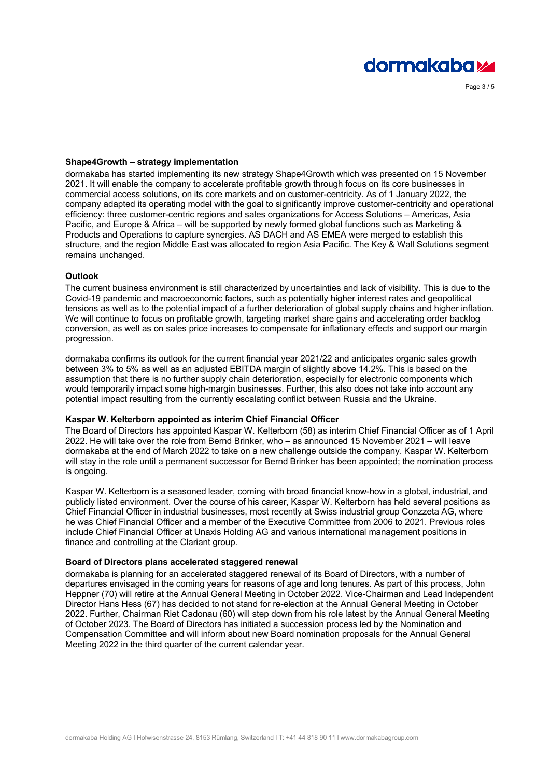

Page 3 / 5

#### **Shape4Growth – strategy implementation**

dormakaba has started implementing its new strategy Shape4Growth which was presented on 15 November 2021. It will enable the company to accelerate profitable growth through focus on its core businesses in commercial access solutions, on its core markets and on customer-centricity. As of 1 January 2022, the company adapted its operating model with the goal to significantly improve customer-centricity and operational efficiency: three customer-centric regions and sales organizations for Access Solutions – Americas, Asia Pacific, and Europe & Africa – will be supported by newly formed global functions such as Marketing & Products and Operations to capture synergies. AS DACH and AS EMEA were merged to establish this structure, and the region Middle East was allocated to region Asia Pacific. The Key & Wall Solutions segment remains unchanged.

#### **Outlook**

The current business environment is still characterized by uncertainties and lack of visibility. This is due to the Covid-19 pandemic and macroeconomic factors, such as potentially higher interest rates and geopolitical tensions as well as to the potential impact of a further deterioration of global supply chains and higher inflation. We will continue to focus on profitable growth, targeting market share gains and accelerating order backlog conversion, as well as on sales price increases to compensate for inflationary effects and support our margin progression.

dormakaba confirms its outlook for the current financial year 2021/22 and anticipates organic sales growth between 3% to 5% as well as an adjusted EBITDA margin of slightly above 14.2%. This is based on the assumption that there is no further supply chain deterioration, especially for electronic components which would temporarily impact some high-margin businesses. Further, this also does not take into account any potential impact resulting from the currently escalating conflict between Russia and the Ukraine.

#### **Kaspar W. Kelterborn appointed as interim Chief Financial Officer**

The Board of Directors has appointed Kaspar W. Kelterborn (58) as interim Chief Financial Officer as of 1 April 2022. He will take over the role from Bernd Brinker, who – as announced 15 November 2021 – will leave dormakaba at the end of March 2022 to take on a new challenge outside the company. Kaspar W. Kelterborn will stay in the role until a permanent successor for Bernd Brinker has been appointed; the nomination process is ongoing.

Kaspar W. Kelterborn is a seasoned leader, coming with broad financial know-how in a global, industrial, and publicly listed environment. Over the course of his career, Kaspar W. Kelterborn has held several positions as Chief Financial Officer in industrial businesses, most recently at Swiss industrial group Conzzeta AG, where he was Chief Financial Officer and a member of the Executive Committee from 2006 to 2021. Previous roles include Chief Financial Officer at Unaxis Holding AG and various international management positions in finance and controlling at the Clariant group.

#### **Board of Directors plans accelerated staggered renewal**

dormakaba is planning for an accelerated staggered renewal of its Board of Directors, with a number of departures envisaged in the coming years for reasons of age and long tenures. As part of this process, John Heppner (70) will retire at the Annual General Meeting in October 2022. Vice-Chairman and Lead Independent Director Hans Hess (67) has decided to not stand for re-election at the Annual General Meeting in October 2022. Further, Chairman Riet Cadonau (60) will step down from his role latest by the Annual General Meeting of October 2023. The Board of Directors has initiated a succession process led by the Nomination and Compensation Committee and will inform about new Board nomination proposals for the Annual General Meeting 2022 in the third quarter of the current calendar year.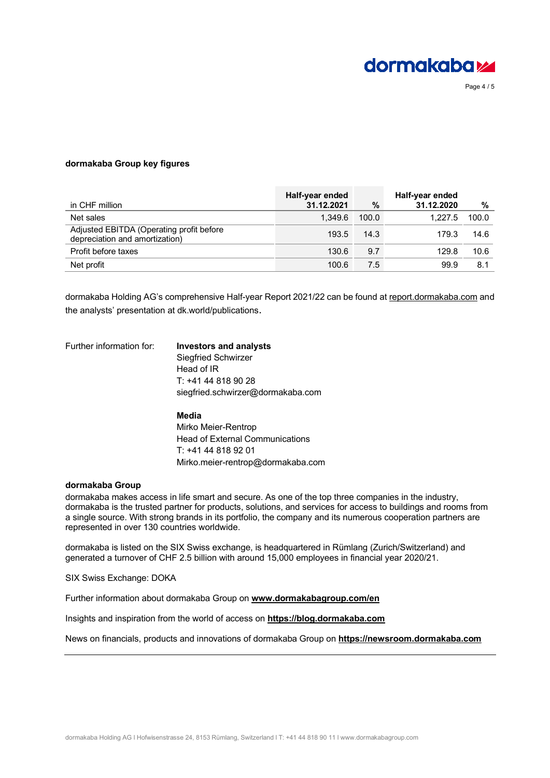

Page 4 / 5

#### **dormakaba Group key figures**

| in CHF million                                                             | Half-year ended<br>31.12.2021 | $\%$  | Half-year ended<br>31.12.2020 | %     |
|----------------------------------------------------------------------------|-------------------------------|-------|-------------------------------|-------|
| Net sales                                                                  | 1.349.6                       | 100.0 | 1.227.5                       | 100.0 |
| Adjusted EBITDA (Operating profit before<br>depreciation and amortization) | 193.5                         | 14.3  | 179.3                         | 14.6  |
| Profit before taxes                                                        | 130.6                         | 9.7   | 129.8                         | 10.6  |
| Net profit                                                                 | 100.6                         | 7.5   | 99.9                          | 8.1   |

dormakaba Holding AG's comprehensive Half-year Report 2021/22 can be found at [report.dormakaba.com](https://report.dormakaba.com/) and the analysts' presentation at dk.world/publications.

### Further information for: **Investors and analysts** Siegfried Schwirzer Head of IR T: +41 44 818 90 28 siegfried.schwirzer@dormakaba.com **Media**

Mirko Meier-Rentrop Head of External Communications T: +41 44 818 92 01 Mirko.meier-rentrop@dormakaba.com

#### **dormakaba Group**

dormakaba makes access in life smart and secure. As one of the top three companies in the industry, dormakaba is the trusted partner for products, solutions, and services for access to buildings and rooms from a single source. With strong brands in its portfolio, the company and its numerous cooperation partners are represented in over 130 countries worldwide.

dormakaba is listed on the SIX Swiss exchange, is headquartered in Rümlang (Zurich/Switzerland) and generated a turnover of CHF 2.5 billion with around 15,000 employees in financial year 2020/21.

SIX Swiss Exchange: DOKA

Further information about dormakaba Group on **[www.dormakabagroup.com/en](https://www.dormakabagroup.com/en)**

Insights and inspiration from the world of access on **[https://blog.dormakaba.com](https://blog.dormakaba.com/)**

News on financials, products and innovations of dormakaba Group on **[https://newsroom.dormakaba.com](https://newsroom.dormakaba.com/)**